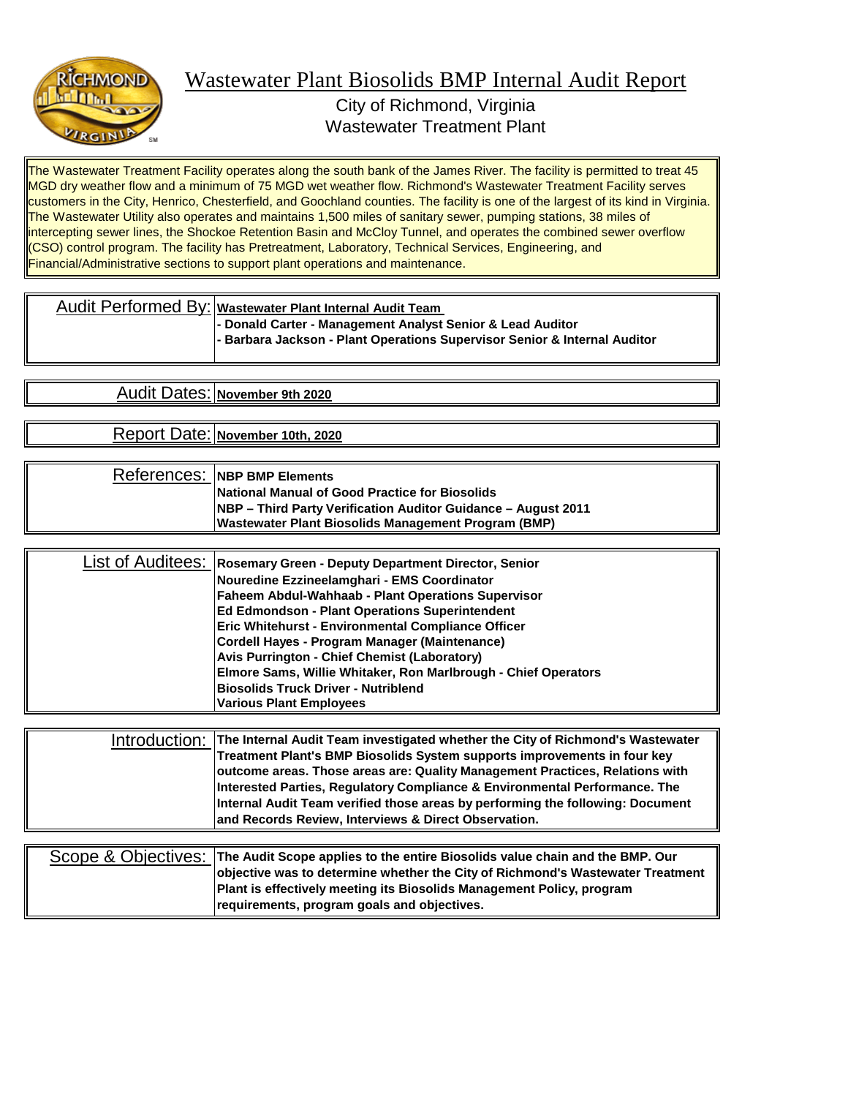

City of Richmond, Virginia Wastewater Treatment Plant

The Wastewater Treatment Facility operates along the south bank of the James River. The facility is permitted to treat 45 MGD dry weather flow and a minimum of 75 MGD wet weather flow. Richmond's Wastewater Treatment Facility serves customers in the City, Henrico, Chesterfield, and Goochland counties. The facility is one of the largest of its kind in Virginia. The Wastewater Utility also operates and maintains 1,500 miles of sanitary sewer, pumping stations, 38 miles of intercepting sewer lines, the Shockoe Retention Basin and McCloy Tunnel, and operates the combined sewer overflow (CSO) control program. The facility has Pretreatment, Laboratory, Technical Services, Engineering, and Financial/Administrative sections to support plant operations and maintenance.

| Audit Performed By: Wastewater Plant Internal Audit Team                                                                                |
|-----------------------------------------------------------------------------------------------------------------------------------------|
| - Donald Carter - Management Analyst Senior & Lead Auditor<br>- Barbara Jackson - Plant Operations Supervisor Senior & Internal Auditor |

**November 9th 2020** Audit Dates:

Report Date: **November 10th, 2020**

| References: INBP BMP Elements                                        |
|----------------------------------------------------------------------|
| <b>National Manual of Good Practice for Biosolids</b>                |
| <b>NBP</b> – Third Party Verification Auditor Guidance – August 2011 |
| Wastewater Plant Biosolids Management Program (BMP)                  |

| List of Auditees: Rosemary Green - Deputy Department Director, Senior |
|-----------------------------------------------------------------------|
| Nouredine Ezzineelamghari - EMS Coordinator                           |
| Faheem Abdul-Wahhaab - Plant Operations Supervisor                    |
| <b>Ed Edmondson - Plant Operations Superintendent</b>                 |
| <b>Eric Whitehurst - Environmental Compliance Officer</b>             |
| Cordell Hayes - Program Manager (Maintenance)                         |
| <b>Avis Purrington - Chief Chemist (Laboratory)</b>                   |
| Elmore Sams, Willie Whitaker, Ron Marlbrough - Chief Operators        |
| <b>Biosolids Truck Driver - Nutriblend</b>                            |
| <b>Various Plant Employees</b>                                        |

| Introduction: The Internal Audit Team investigated whether the City of Richmond's Wastewater |
|----------------------------------------------------------------------------------------------|
| Treatment Plant's BMP Biosolids System supports improvements in four key                     |
| outcome areas. Those areas are: Quality Management Practices, Relations with                 |
| Interested Parties, Regulatory Compliance & Environmental Performance. The                   |
| Internal Audit Team verified those areas by performing the following: Document               |
| and Records Review, Interviews & Direct Observation.                                         |

|  | Scope & Objectives: The Audit Scope applies to the entire Biosolids value chain and the BMP. Our |
|--|--------------------------------------------------------------------------------------------------|
|  | objective was to determine whether the City of Richmond's Wastewater Treatment                   |
|  | <b>Plant is effectively meeting its Biosolids Management Policy, program</b>                     |
|  | requirements, program goals and objectives.                                                      |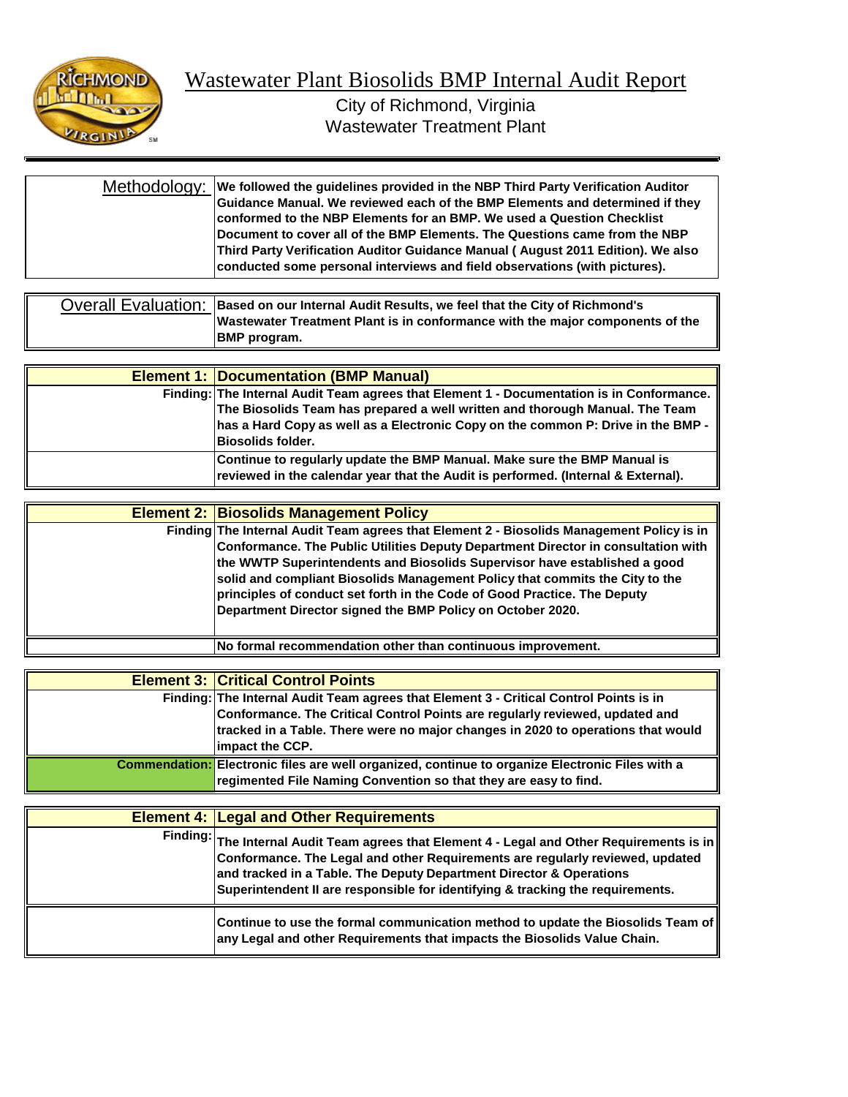

| Methodology:  We followed the guidelines provided in the NBP Third Party Verification Auditor<br>Guidance Manual. We reviewed each of the BMP Elements and determined if they<br>conformed to the NBP Elements for an BMP. We used a Question Checklist |
|---------------------------------------------------------------------------------------------------------------------------------------------------------------------------------------------------------------------------------------------------------|
| Document to cover all of the BMP Elements. The Questions came from the NBP<br>Third Party Verification Auditor Guidance Manual (August 2011 Edition). We also<br>conducted some personal interviews and field observations (with pictures).             |

| Overall Evaluation: Based on our Internal Audit Results, we feel that the City of Richmond's |
|----------------------------------------------------------------------------------------------|
| Wastewater Treatment Plant is in conformance with the major components of the                |
| <b>BMP</b> program.                                                                          |

| <b>Element 1: Documentation (BMP Manual)</b>                                                                                                                                                                                                                                               |
|--------------------------------------------------------------------------------------------------------------------------------------------------------------------------------------------------------------------------------------------------------------------------------------------|
| Finding: The Internal Audit Team agrees that Element 1 - Documentation is in Conformance.<br>The Biosolids Team has prepared a well written and thorough Manual. The Team<br>has a Hard Copy as well as a Electronic Copy on the common P: Drive in the BMP -<br><b>IBiosolids folder.</b> |
| Continue to regularly update the BMP Manual. Make sure the BMP Manual is<br>reviewed in the calendar year that the Audit is performed. (Internal & External).                                                                                                                              |

| <b>Element 2: Biosolids Management Policy</b>                                                                                                                                                                                                                                                                                                                                                                                                                                         |
|---------------------------------------------------------------------------------------------------------------------------------------------------------------------------------------------------------------------------------------------------------------------------------------------------------------------------------------------------------------------------------------------------------------------------------------------------------------------------------------|
| Finding The Internal Audit Team agrees that Element 2 - Biosolids Management Policy is in<br>Conformance. The Public Utilities Deputy Department Director in consultation with<br>the WWTP Superintendents and Biosolids Supervisor have established a good<br>solid and compliant Biosolids Management Policy that commits the City to the<br>principles of conduct set forth in the Code of Good Practice. The Deputy<br>Department Director signed the BMP Policy on October 2020. |
| No formal recommendation other than continuous improvement.                                                                                                                                                                                                                                                                                                                                                                                                                           |

| <b>Element 3: Critical Control Points</b>                                                                                                                                           |
|-------------------------------------------------------------------------------------------------------------------------------------------------------------------------------------|
| Finding: The Internal Audit Team agrees that Element 3 - Critical Control Points is in                                                                                              |
| Conformance. The Critical Control Points are regularly reviewed, updated and<br>tracked in a Table. There were no major changes in 2020 to operations that would<br>impact the CCP. |
| Commendation: Electronic files are well organized, continue to organize Electronic Files with a<br>regimented File Naming Convention so that they are easy to find.                 |

| <b>Element 4: Legal and Other Requirements</b>                                                                                                                                                                                                                                                                                          |
|-----------------------------------------------------------------------------------------------------------------------------------------------------------------------------------------------------------------------------------------------------------------------------------------------------------------------------------------|
| Finding: The Internal Audit Team agrees that Element 4 - Legal and Other Requirements is in ∥<br>Conformance. The Legal and other Requirements are regularly reviewed, updated<br>and tracked in a Table. The Deputy Department Director & Operations<br>Superintendent II are responsible for identifying & tracking the requirements. |
| Continue to use the formal communication method to update the Biosolids Team of<br>any Legal and other Requirements that impacts the Biosolids Value Chain.                                                                                                                                                                             |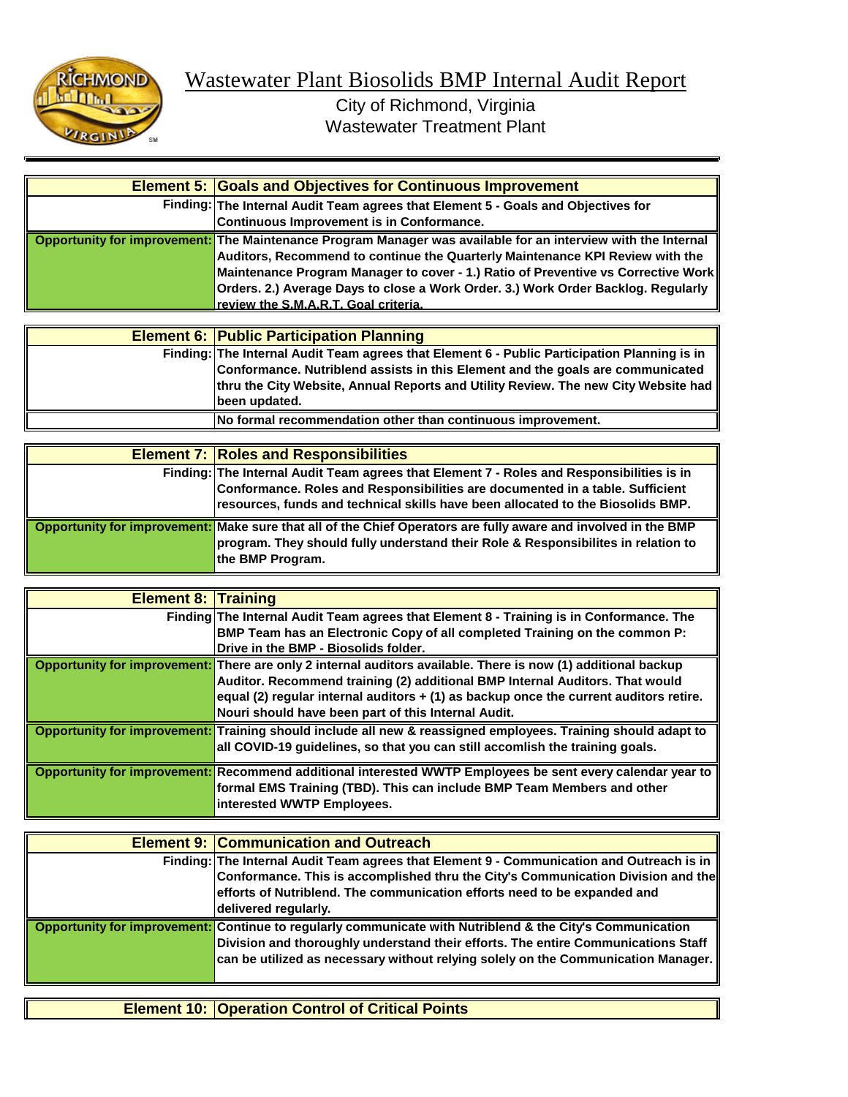

| <b>Element 5: Goals and Objectives for Continuous Improvement</b>                                                                                                                                                                                                                                                                                                                                                |
|------------------------------------------------------------------------------------------------------------------------------------------------------------------------------------------------------------------------------------------------------------------------------------------------------------------------------------------------------------------------------------------------------------------|
| Finding: The Internal Audit Team agrees that Element 5 - Goals and Objectives for<br>Continuous Improvement is in Conformance.                                                                                                                                                                                                                                                                                   |
| Opportunity for improvement: The Maintenance Program Manager was available for an interview with the Internal<br>Auditors, Recommend to continue the Quarterly Maintenance KPI Review with the<br>Maintenance Program Manager to cover - 1.) Ratio of Preventive vs Corrective Work<br>Orders. 2.) Average Days to close a Work Order. 3.) Work Order Backlog. Regularly<br>review the S.M.A.R.T. Goal criteria. |

| <b>Element 6: Public Participation Planning</b>                                              |
|----------------------------------------------------------------------------------------------|
| Finding: The Internal Audit Team agrees that Element 6 - Public Participation Planning is in |
| Conformance. Nutriblend assists in this Element and the goals are communicated               |
| thru the City Website, Annual Reports and Utility Review. The new City Website had           |
| Ibeen updated.                                                                               |
| No formal recommendation other than continuous improvement.                                  |

| <b>Element 7: Roles and Responsibilities</b>                                                                   |
|----------------------------------------------------------------------------------------------------------------|
| Finding: The Internal Audit Team agrees that Element 7 - Roles and Responsibilities is in                      |
| Conformance. Roles and Responsibilities are documented in a table. Sufficient                                  |
| resources, funds and technical skills have been allocated to the Biosolids BMP.                                |
| Opportunity for improvement: Make sure that all of the Chief Operators are fully aware and involved in the BMP |
| program. They should fully understand their Role & Responsibilites in relation to                              |
| the BMP Program.                                                                                               |

| <b>Element 8: Training</b> |                                                                                                               |
|----------------------------|---------------------------------------------------------------------------------------------------------------|
|                            | Finding The Internal Audit Team agrees that Element 8 - Training is in Conformance. The                       |
|                            | BMP Team has an Electronic Copy of all completed Training on the common P:                                    |
|                            | Drive in the BMP - Biosolids folder.                                                                          |
|                            | Opportunity for improvement: There are only 2 internal auditors available. There is now (1) additional backup |
|                            | Auditor. Recommend training (2) additional BMP Internal Auditors. That would                                  |
|                            | equal (2) regular internal auditors + (1) as backup once the current auditors retire.                         |
|                            | Nouri should have been part of this Internal Audit.                                                           |
|                            | Opportunity for improvement: Training should include all new & reassigned employees. Training should adapt to |
|                            | all COVID-19 guidelines, so that you can still accomlish the training goals.                                  |
|                            | Opportunity for improvement: Recommend additional interested WWTP Employees be sent every calendar year to    |
|                            | formal EMS Training (TBD). This can include BMP Team Members and other                                        |
|                            | interested WWTP Employees.                                                                                    |

| <b>Element 9: Communication and Outreach</b>                                                                                                                                                                                                                                        |
|-------------------------------------------------------------------------------------------------------------------------------------------------------------------------------------------------------------------------------------------------------------------------------------|
| Finding: The Internal Audit Team agrees that Element 9 - Communication and Outreach is in<br>Conformance. This is accomplished thru the City's Communication Division and the                                                                                                       |
| efforts of Nutriblend. The communication efforts need to be expanded and<br>delivered regularly.                                                                                                                                                                                    |
| Opportunity for improvement: Continue to regularly communicate with Nutriblend & the City's Communication<br>Division and thoroughly understand their efforts. The entire Communications Staff<br>can be utilized as necessary without relying solely on the Communication Manager. |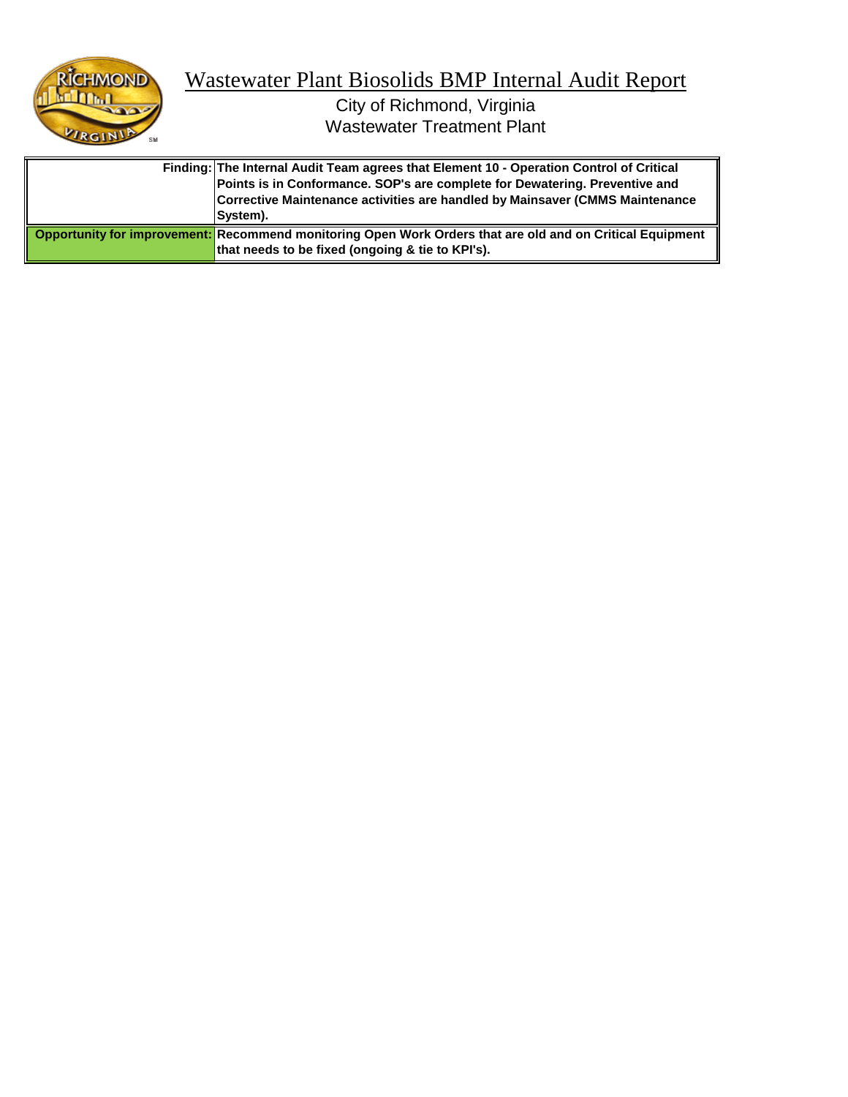

| Finding: The Internal Audit Team agrees that Element 10 - Operation Control of Critical<br>Points is in Conformance. SOP's are complete for Dewatering. Preventive and<br>Corrective Maintenance activities are handled by Mainsaver (CMMS Maintenance<br><b>Svstem).</b> |
|---------------------------------------------------------------------------------------------------------------------------------------------------------------------------------------------------------------------------------------------------------------------------|
| Opportunity for improvement: Recommend monitoring Open Work Orders that are old and on Critical Equipment<br>that needs to be fixed (ongoing & tie to KPI's).                                                                                                             |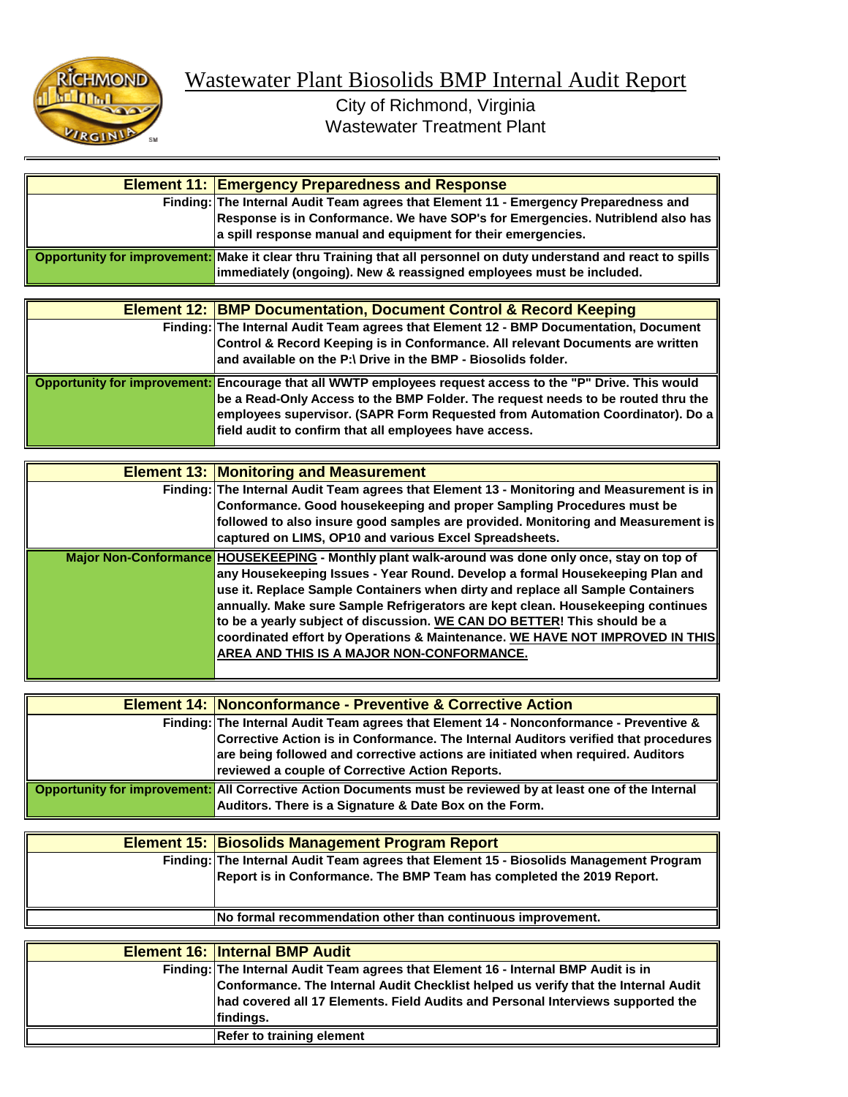

|  | <b>Element 11: Emergency Preparedness and Response</b>                                                             |
|--|--------------------------------------------------------------------------------------------------------------------|
|  | Finding: The Internal Audit Team agrees that Element 11 - Emergency Preparedness and                               |
|  | Response is in Conformance. We have SOP's for Emergencies. Nutriblend also has                                     |
|  | a spill response manual and equipment for their emergencies.                                                       |
|  | Opportunity for improvement: Make it clear thru Training that all personnel on duty understand and react to spills |
|  | immediately (ongoing). New & reassigned employees must be included.                                                |
|  |                                                                                                                    |
|  | <b>Element 12: BMP Documentation, Document Control &amp; Record Keeping</b>                                        |
|  | Finding: The Internal Audit Team agrees that Element 12 - BMP Documentation, Document                              |
|  | Control & Record Keeping is in Conformance. All relevant Documents are written                                     |
|  | and available on the P:\ Drive in the BMP - Biosolids folder.                                                      |
|  | Opportunity for improvement: Encourage that all WWTP employees request access to the "P" Drive. This would         |
|  | be a Read-Only Access to the BMP Folder. The request needs to be routed thru the                                   |
|  | employees supervisor. (SAPR Form Requested from Automation Coordinator). Do a                                      |
|  | field audit to confirm that all employees have access.                                                             |
|  |                                                                                                                    |
|  | <b>Element 13: Monitoring and Measurement</b>                                                                      |
|  | Finding: The Internal Audit Team agrees that Element 13 - Monitoring and Measurement is in                         |

| Finding: The internal Audit Team agrees that Element 13 - Monitoring and Measurement is in (<br>Conformance. Good housekeeping and proper Sampling Procedures must be<br>followed to also insure good samples are provided. Monitoring and Measurement is<br>captured on LIMS, OP10 and various Excel Spreadsheets.                                                                                                                                                                                                                                              |
|------------------------------------------------------------------------------------------------------------------------------------------------------------------------------------------------------------------------------------------------------------------------------------------------------------------------------------------------------------------------------------------------------------------------------------------------------------------------------------------------------------------------------------------------------------------|
| Major Non-Conformance HOUSEKEEPING - Monthly plant walk-around was done only once, stay on top of<br>lany Housekeeping Issues - Year Round. Develop a formal Housekeeping Plan and<br>use it. Replace Sample Containers when dirty and replace all Sample Containers<br>annually. Make sure Sample Refrigerators are kept clean. Housekeeping continues<br>to be a yearly subject of discussion. WE CAN DO BETTER! This should be a<br>coordinated effort by Operations & Maintenance. WE HAVE NOT IMPROVED IN THIS<br>AREA AND THIS IS A MAJOR NON-CONFORMANCE. |

| <b>Element 14: Nonconformance - Preventive &amp; Corrective Action</b>                                        |
|---------------------------------------------------------------------------------------------------------------|
| Finding: The Internal Audit Team agrees that Element 14 - Nonconformance - Preventive &                       |
| Corrective Action is in Conformance. The Internal Auditors verified that procedures                           |
| are being followed and corrective actions are initiated when required. Auditors                               |
| reviewed a couple of Corrective Action Reports.                                                               |
| Opportunity for improvement: All Corrective Action Documents must be reviewed by at least one of the Internal |
| Auditors. There is a Signature & Date Box on the Form.                                                        |

| <b>Element 15: Biosolids Management Program Report</b>                                                                                                          |
|-----------------------------------------------------------------------------------------------------------------------------------------------------------------|
| Finding: The Internal Audit Team agrees that Element 15 - Biosolids Management Program<br>Report is in Conformance. The BMP Team has completed the 2019 Report. |
| No formal recommendation other than continuous improvement.                                                                                                     |

| <b>Element 16: Internal BMP Audit</b>                                              |
|------------------------------------------------------------------------------------|
| Finding: The Internal Audit Team agrees that Element 16 - Internal BMP Audit is in |
| Conformance. The Internal Audit Checklist helped us verify that the Internal Audit |
| had covered all 17 Elements. Field Audits and Personal Interviews supported the    |
| findings.                                                                          |
| <b>Refer to training element</b>                                                   |